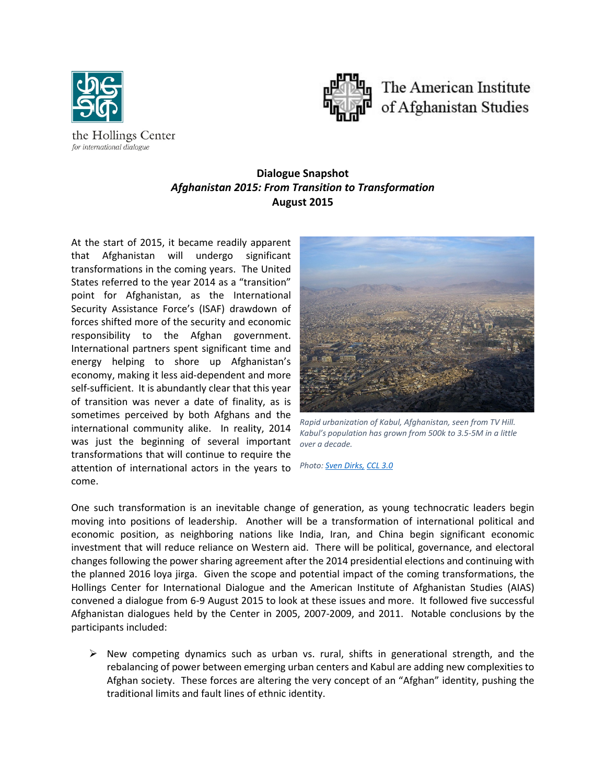

for international dialogue



# **Dialogue Snapshot** *Afghanistan 2015: From Transition to Transformation* **August 2015**

At the start of 2015, it became readily apparent that Afghanistan will undergo significant transformations in the coming years. The United States referred to the year 2014 as a "transition" point for Afghanistan, as the International Security Assistance Force's (ISAF) drawdown of forces shifted more of the security and economic responsibility to the Afghan government. International partners spent significant time and energy helping to shore up Afghanistan's economy, making it less aid-dependent and more self-sufficient. It is abundantly clear that this year of transition was never a date of finality, as is sometimes perceived by both Afghans and the international community alike. In reality, 2014 was just the beginning of several important transformations that will continue to require the attention of international actors in the years to come.



*Rapid urbanization of Kabul, Afghanistan, seen from TV Hill. Kabul's population has grown from 500k to 3.5-5M in a little over a decade.*

*Photo: [Sven Dirks,](https://commons.wikimedia.org/wiki/File:Kabul_TV_Hill_view.jpg) [CCL 3.0](http://creativecommons.org/licenses/by-sa/3.0/)*

One such transformation is an inevitable change of generation, as young technocratic leaders begin moving into positions of leadership. Another will be a transformation of international political and economic position, as neighboring nations like India, Iran, and China begin significant economic investment that will reduce reliance on Western aid. There will be political, governance, and electoral changes following the power sharing agreement after the 2014 presidential elections and continuing with the planned 2016 loya jirga. Given the scope and potential impact of the coming transformations, the Hollings Center for International Dialogue and the American Institute of Afghanistan Studies (AIAS) convened a dialogue from 6-9 August 2015 to look at these issues and more. It followed five successful Afghanistan dialogues held by the Center in 2005, 2007-2009, and 2011. Notable conclusions by the participants included:

 $\triangleright$  New competing dynamics such as urban vs. rural, shifts in generational strength, and the rebalancing of power between emerging urban centers and Kabul are adding new complexities to Afghan society. These forces are altering the very concept of an "Afghan" identity, pushing the traditional limits and fault lines of ethnic identity.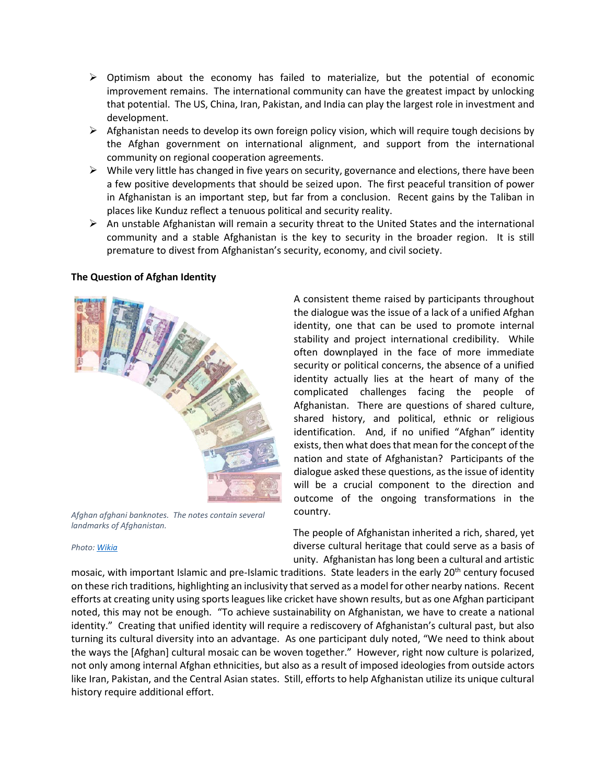- $\triangleright$  Optimism about the economy has failed to materialize, but the potential of economic improvement remains. The international community can have the greatest impact by unlocking that potential. The US, China, Iran, Pakistan, and India can play the largest role in investment and development.
- $\triangleright$  Afghanistan needs to develop its own foreign policy vision, which will require tough decisions by the Afghan government on international alignment, and support from the international community on regional cooperation agreements.
- $\triangleright$  While very little has changed in five years on security, governance and elections, there have been a few positive developments that should be seized upon. The first peaceful transition of power in Afghanistan is an important step, but far from a conclusion. Recent gains by the Taliban in places like Kunduz reflect a tenuous political and security reality.
- $\triangleright$  An unstable Afghanistan will remain a security threat to the United States and the international community and a stable Afghanistan is the key to security in the broader region. It is still premature to divest from Afghanistan's security, economy, and civil society.

## **The Question of Afghan Identity**



*Afghan afghani banknotes. The notes contain several landmarks of Afghanistan.*

#### *Photo: [Wikia](http://currencies.wikia.com/wiki/File:Afghan_afghani_notes.png)*

A consistent theme raised by participants throughout the dialogue was the issue of a lack of a unified Afghan identity, one that can be used to promote internal stability and project international credibility. While often downplayed in the face of more immediate security or political concerns, the absence of a unified identity actually lies at the heart of many of the complicated challenges facing the people of Afghanistan. There are questions of shared culture, shared history, and political, ethnic or religious identification. And, if no unified "Afghan" identity exists, then what does that mean for the concept of the nation and state of Afghanistan? Participants of the dialogue asked these questions, as the issue of identity will be a crucial component to the direction and outcome of the ongoing transformations in the country.

The people of Afghanistan inherited a rich, shared, yet diverse cultural heritage that could serve as a basis of unity. Afghanistan has long been a cultural and artistic

mosaic, with important Islamic and pre-Islamic traditions. State leaders in the early 20<sup>th</sup> century focused on these rich traditions, highlighting an inclusivity that served as a model for other nearby nations. Recent efforts at creating unity using sports leagues like cricket have shown results, but as one Afghan participant noted, this may not be enough. "To achieve sustainability on Afghanistan, we have to create a national identity." Creating that unified identity will require a rediscovery of Afghanistan's cultural past, but also turning its cultural diversity into an advantage. As one participant duly noted, "We need to think about the ways the [Afghan] cultural mosaic can be woven together." However, right now culture is polarized, not only among internal Afghan ethnicities, but also as a result of imposed ideologies from outside actors like Iran, Pakistan, and the Central Asian states. Still, efforts to help Afghanistan utilize its unique cultural history require additional effort.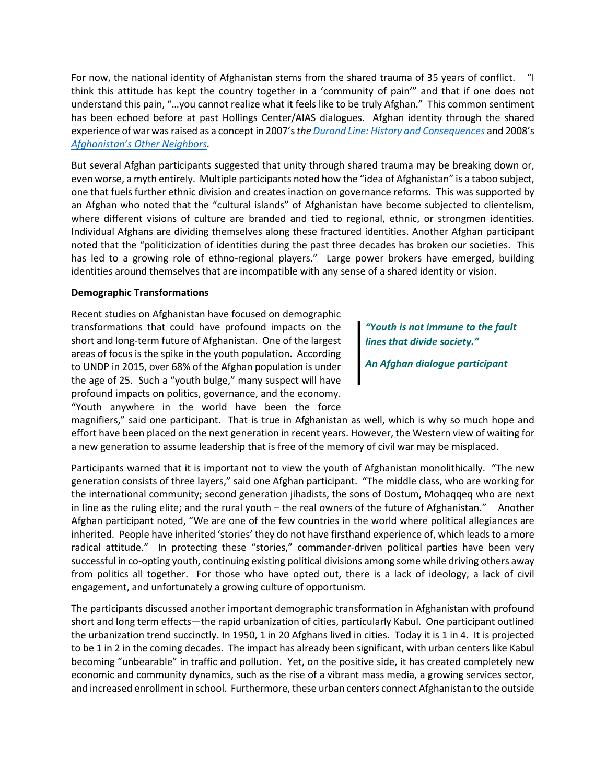For now, the national identity of Afghanistan stems from the shared trauma of 35 years of conflict. "I think this attitude has kept the country together in a 'community of pain'" and that if one does not understand this pain, "…you cannot realize what it feels like to be truly Afghan." This common sentiment has been echoed before at past Hollings Center/AIAS dialogues. Afghan identity through the shared experience of war was raised as a concept in 2007's *th[e Durand Line: History and Consequences](http://www.hollingscenter.org/the-durand-line-history-consequences-and-future-july-2007/)* and 2008's *[Afghanistan's Other Neighbors.](http://www.hollingscenter.org/afghanistans-other-neighbors-iran-central-asia-and-china-july-2008/)*

But several Afghan participants suggested that unity through shared trauma may be breaking down or, even worse, a myth entirely. Multiple participants noted how the "idea of Afghanistan" is a taboo subject, one that fuels further ethnic division and creates inaction on governance reforms. This was supported by an Afghan who noted that the "cultural islands" of Afghanistan have become subjected to clientelism, where different visions of culture are branded and tied to regional, ethnic, or strongmen identities. Individual Afghans are dividing themselves along these fractured identities. Another Afghan participant noted that the "politicization of identities during the past three decades has broken our societies. This has led to a growing role of ethno-regional players." Large power brokers have emerged, building identities around themselves that are incompatible with any sense of a shared identity or vision.

# **Demographic Transformations**

Recent studies on Afghanistan have focused on demographic transformations that could have profound impacts on the short and long-term future of Afghanistan. One of the largest areas of focus is the spike in the youth population. According to UNDP in 2015, over 68% of the Afghan population is under the age of 25. Such a "youth bulge," many suspect will have profound impacts on politics, governance, and the economy. "Youth anywhere in the world have been the force

*"Youth is not immune to the fault lines that divide society."*

*An Afghan dialogue participant*

magnifiers," said one participant. That is true in Afghanistan as well, which is why so much hope and effort have been placed on the next generation in recent years. However, the Western view of waiting for a new generation to assume leadership that is free of the memory of civil war may be misplaced.

Participants warned that it is important not to view the youth of Afghanistan monolithically. "The new generation consists of three layers," said one Afghan participant. "The middle class, who are working for the international community; second generation jihadists, the sons of Dostum, Mohaqqeq who are next in line as the ruling elite; and the rural youth – the real owners of the future of Afghanistan." Another Afghan participant noted, "We are one of the few countries in the world where political allegiances are inherited. People have inherited 'stories' they do not have firsthand experience of, which leads to a more radical attitude." In protecting these "stories," commander-driven political parties have been very successful in co-opting youth, continuing existing political divisions among some while driving others away from politics all together. For those who have opted out, there is a lack of ideology, a lack of civil engagement, and unfortunately a growing culture of opportunism.

The participants discussed another important demographic transformation in Afghanistan with profound short and long term effects—the rapid urbanization of cities, particularly Kabul. One participant outlined the urbanization trend succinctly. In 1950, 1 in 20 Afghans lived in cities. Today it is 1 in 4. It is projected to be 1 in 2 in the coming decades. The impact has already been significant, with urban centers like Kabul becoming "unbearable" in traffic and pollution. Yet, on the positive side, it has created completely new economic and community dynamics, such as the rise of a vibrant mass media, a growing services sector, and increased enrollment in school. Furthermore, these urban centers connect Afghanistan to the outside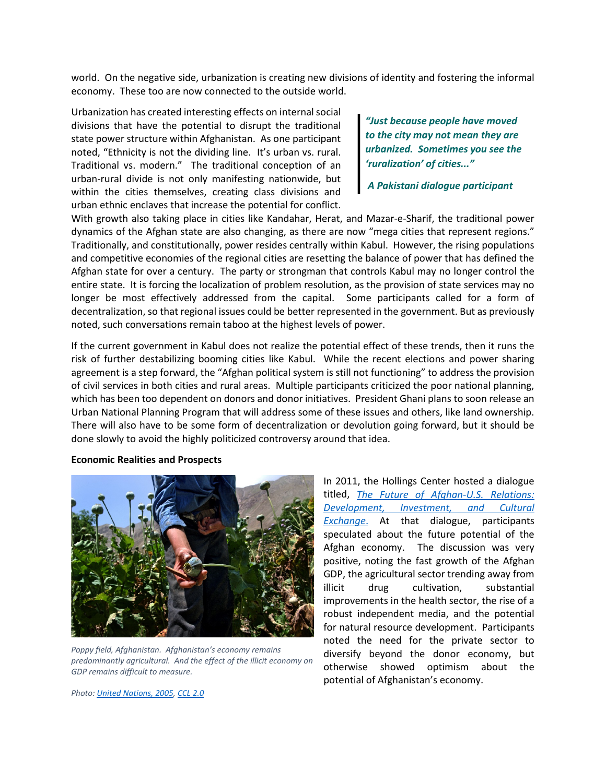world. On the negative side, urbanization is creating new divisions of identity and fostering the informal economy. These too are now connected to the outside world.

Urbanization has created interesting effects on internal social divisions that have the potential to disrupt the traditional state power structure within Afghanistan. As one participant noted, "Ethnicity is not the dividing line. It's urban vs. rural. Traditional vs. modern." The traditional conception of an urban-rural divide is not only manifesting nationwide, but within the cities themselves, creating class divisions and urban ethnic enclaves that increase the potential for conflict.

*"Just because people have moved to the city may not mean they are urbanized. Sometimes you see the 'ruralization' of cities..."*

*A Pakistani dialogue participant*

With growth also taking place in cities like Kandahar, Herat, and Mazar-e-Sharif, the traditional power dynamics of the Afghan state are also changing, as there are now "mega cities that represent regions." Traditionally, and constitutionally, power resides centrally within Kabul. However, the rising populations and competitive economies of the regional cities are resetting the balance of power that has defined the Afghan state for over a century. The party or strongman that controls Kabul may no longer control the entire state. It is forcing the localization of problem resolution, as the provision of state services may no longer be most effectively addressed from the capital. Some participants called for a form of decentralization, so that regional issues could be better represented in the government. But as previously noted, such conversations remain taboo at the highest levels of power.

If the current government in Kabul does not realize the potential effect of these trends, then it runs the risk of further destabilizing booming cities like Kabul. While the recent elections and power sharing agreement is a step forward, the "Afghan political system is still not functioning" to address the provision of civil services in both cities and rural areas. Multiple participants criticized the poor national planning, which has been too dependent on donors and donor initiatives. President Ghani plans to soon release an Urban National Planning Program that will address some of these issues and others, like land ownership. There will also have to be some form of decentralization or devolution going forward, but it should be done slowly to avoid the highly politicized controversy around that idea.

**Economic Realities and Prospects**



*Poppy field, Afghanistan. Afghanistan's economy remains predominantly agricultural. And the effect of the illicit economy on GDP remains difficult to measure.*

In 2011, the Hollings Center hosted a dialogue titled, *[The Future of Afghan-U.S. Relations:](http://www.hollingscenter.org/the-future-of-afghan-u-s-relations-development-investment-and-cultural-exchange-may-2011/)  [Development, Investment, and Cultural](http://www.hollingscenter.org/the-future-of-afghan-u-s-relations-development-investment-and-cultural-exchange-may-2011/)  [Exchange](http://www.hollingscenter.org/the-future-of-afghan-u-s-relations-development-investment-and-cultural-exchange-may-2011/)*. At that dialogue, participants speculated about the future potential of the Afghan economy. The discussion was very positive, noting the fast growth of the Afghan GDP, the agricultural sector trending away from illicit drug cultivation, substantial improvements in the health sector, the rise of a robust independent media, and the potential for natural resource development. Participants noted the need for the private sector to diversify beyond the donor economy, but otherwise showed optimism about the potential of Afghanistan's economy.

*Photo: [United Nations, 2005,](https://www.flickr.com/photos/un_photo/7216920538/in/photolist-bZJB3s-998enf-9nmtDp-9peyHu-bExfp6-9eZThv-sJMTX-jXJW6n-8LRv3N-rdoHff-8zkN3L-dp4mys-qY7asL-91AbCL-ahp4H8-9dEQ7j-7mSVwY-5ys1CP-8zhDmD-8zhDBV-bGVRmM-bGVQZR-6aQ6Ma-8zkMW7-mXTfpz-ahrPQ3-dAsS6B-8TWr3u-93hKQ8-9f43eS-9wryKh-9p5GBQ-9pbLwg-9fzNBw-9JzJpF-91Acdw-dPiweh-rfAdfb-9beF1G-chFHK3-9CxhcQ-77WfzB-dQuEoV-97pLmF-dkg6nX-8EsTb7-9GhKdb-9pfPJd-8v2XFc-998Xxj) [CCL 2.0](https://creativecommons.org/licenses/by-nc-nd/2.0/)*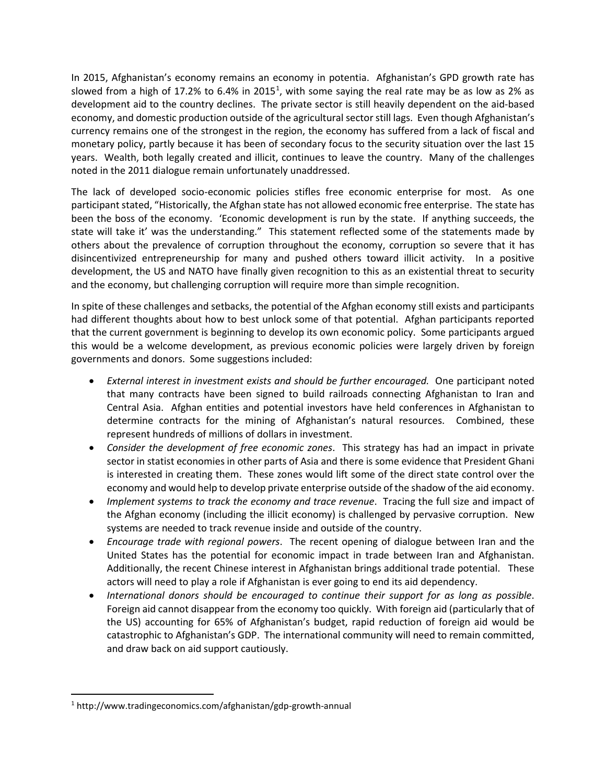In 2015, Afghanistan's economy remains an economy in potentia. Afghanistan's GPD growth rate has slowed from a high of [1](#page-4-0)7.2% to 6.4% in 2015<sup>1</sup>, with some saying the real rate may be as low as 2% as development aid to the country declines. The private sector is still heavily dependent on the aid-based economy, and domestic production outside of the agricultural sector still lags. Even though Afghanistan's currency remains one of the strongest in the region, the economy has suffered from a lack of fiscal and monetary policy, partly because it has been of secondary focus to the security situation over the last 15 years. Wealth, both legally created and illicit, continues to leave the country. Many of the challenges noted in the 2011 dialogue remain unfortunately unaddressed.

The lack of developed socio-economic policies stifles free economic enterprise for most. As one participant stated, "Historically, the Afghan state has not allowed economic free enterprise. The state has been the boss of the economy. 'Economic development is run by the state. If anything succeeds, the state will take it' was the understanding." This statement reflected some of the statements made by others about the prevalence of corruption throughout the economy, corruption so severe that it has disincentivized entrepreneurship for many and pushed others toward illicit activity. In a positive development, the US and NATO have finally given recognition to this as an existential threat to security and the economy, but challenging corruption will require more than simple recognition.

In spite of these challenges and setbacks, the potential of the Afghan economy still exists and participants had different thoughts about how to best unlock some of that potential. Afghan participants reported that the current government is beginning to develop its own economic policy. Some participants argued this would be a welcome development, as previous economic policies were largely driven by foreign governments and donors. Some suggestions included:

- *External interest in investment exists and should be further encouraged.* One participant noted that many contracts have been signed to build railroads connecting Afghanistan to Iran and Central Asia. Afghan entities and potential investors have held conferences in Afghanistan to determine contracts for the mining of Afghanistan's natural resources. Combined, these represent hundreds of millions of dollars in investment.
- *Consider the development of free economic zones*. This strategy has had an impact in private sector in statist economies in other parts of Asia and there is some evidence that President Ghani is interested in creating them. These zones would lift some of the direct state control over the economy and would help to develop private enterprise outside of the shadow of the aid economy.
- *Implement systems to track the economy and trace revenue*. Tracing the full size and impact of the Afghan economy (including the illicit economy) is challenged by pervasive corruption. New systems are needed to track revenue inside and outside of the country.
- *Encourage trade with regional powers*. The recent opening of dialogue between Iran and the United States has the potential for economic impact in trade between Iran and Afghanistan. Additionally, the recent Chinese interest in Afghanistan brings additional trade potential. These actors will need to play a role if Afghanistan is ever going to end its aid dependency.
- *International donors should be encouraged to continue their support for as long as possible*. Foreign aid cannot disappear from the economy too quickly. With foreign aid (particularly that of the US) accounting for 65% of Afghanistan's budget, rapid reduction of foreign aid would be catastrophic to Afghanistan's GDP. The international community will need to remain committed, and draw back on aid support cautiously.

<span id="page-4-0"></span> <sup>1</sup> http://www.tradingeconomics.com/afghanistan/gdp-growth-annual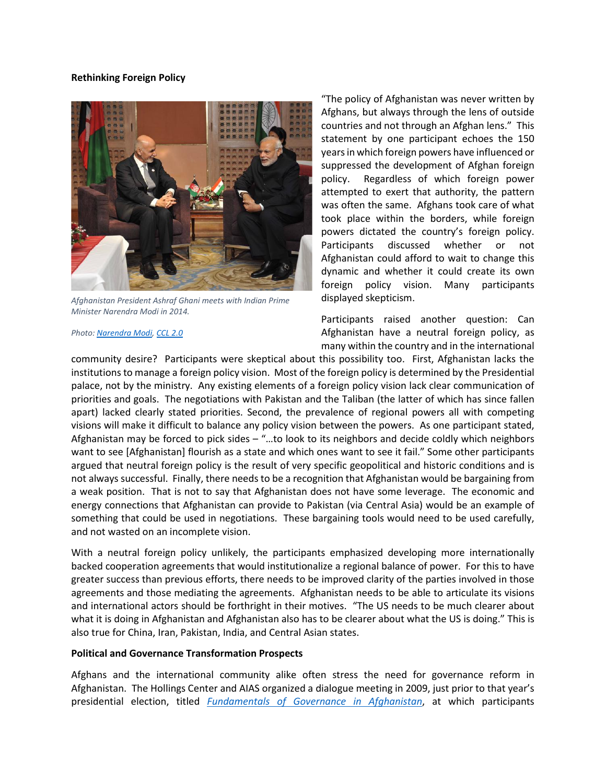## **Rethinking Foreign Policy**



*Afghanistan President Ashraf Ghani meets with Indian Prime Minister Narendra Modi in 2014.*

#### *Photo: [Narendra Modi,](https://upload.wikimedia.org/wikipedia/commons/3/39/Afghan_President_Ashraf_Ghani_meets_PM_Narendra_Modi_at_the_18th_SAARC_summit.jpg) [CCL 2.0](https://creativecommons.org/licenses/by-sa/2.0/deed.en)*

"The policy of Afghanistan was never written by Afghans, but always through the lens of outside countries and not through an Afghan lens." This statement by one participant echoes the 150 years in which foreign powers have influenced or suppressed the development of Afghan foreign policy. Regardless of which foreign power attempted to exert that authority, the pattern was often the same. Afghans took care of what took place within the borders, while foreign powers dictated the country's foreign policy. Participants discussed whether or not Afghanistan could afford to wait to change this dynamic and whether it could create its own foreign policy vision. Many participants displayed skepticism.

Participants raised another question: Can Afghanistan have a neutral foreign policy, as many within the country and in the international

community desire? Participants were skeptical about this possibility too. First, Afghanistan lacks the institutions to manage a foreign policy vision. Most of the foreign policy is determined by the Presidential palace, not by the ministry. Any existing elements of a foreign policy vision lack clear communication of priorities and goals. The negotiations with Pakistan and the Taliban (the latter of which has since fallen apart) lacked clearly stated priorities. Second, the prevalence of regional powers all with competing visions will make it difficult to balance any policy vision between the powers. As one participant stated, Afghanistan may be forced to pick sides – "…to look to its neighbors and decide coldly which neighbors want to see [Afghanistan] flourish as a state and which ones want to see it fail." Some other participants argued that neutral foreign policy is the result of very specific geopolitical and historic conditions and is not always successful. Finally, there needs to be a recognition that Afghanistan would be bargaining from a weak position. That is not to say that Afghanistan does not have some leverage. The economic and energy connections that Afghanistan can provide to Pakistan (via Central Asia) would be an example of something that could be used in negotiations. These bargaining tools would need to be used carefully, and not wasted on an incomplete vision.

With a neutral foreign policy unlikely, the participants emphasized developing more internationally backed cooperation agreements that would institutionalize a regional balance of power. For this to have greater success than previous efforts, there needs to be improved clarity of the parties involved in those agreements and those mediating the agreements. Afghanistan needs to be able to articulate its visions and international actors should be forthright in their motives. "The US needs to be much clearer about what it is doing in Afghanistan and Afghanistan also has to be clearer about what the US is doing." This is also true for China, Iran, Pakistan, India, and Central Asian states.

## **Political and Governance Transformation Prospects**

Afghans and the international community alike often stress the need for governance reform in Afghanistan. The Hollings Center and AIAS organized a dialogue meeting in 2009, just prior to that year's presidential election, titled *[Fundamentals of Governance in Afghanistan](http://www.hollingscenter.org/fundamentals-of-governance-in-afghanistan-june-2009/)*, at which participants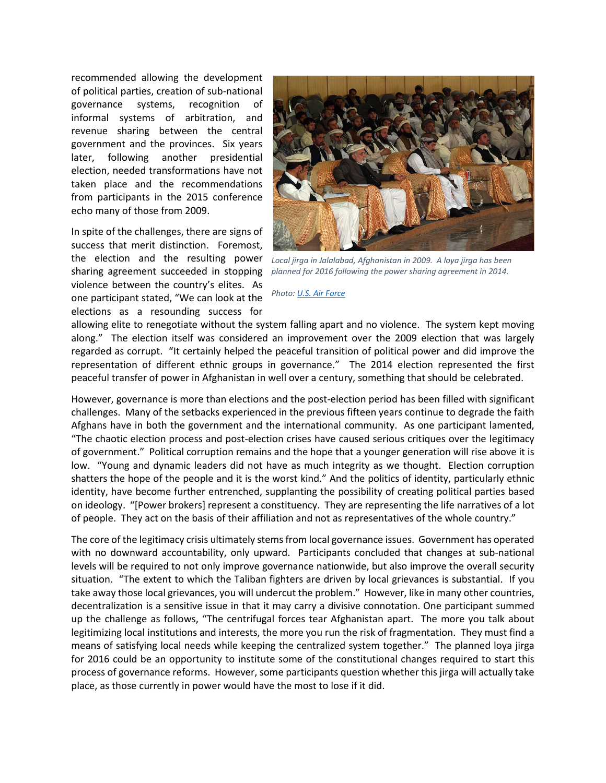recommended allowing the development of political parties, creation of sub-national governance systems, recognition of informal systems of arbitration, and revenue sharing between the central government and the provinces. Six years later, following another presidential election, needed transformations have not taken place and the recommendations from participants in the 2015 conference echo many of those from 2009.

In spite of the challenges, there are signs of success that merit distinction. Foremost, the election and the resulting power sharing agreement succeeded in stopping violence between the country's elites. As one participant stated, "We can look at the elections as a resounding success for



*Local jirga in Jalalabad, Afghanistan in 2009. A loya jirga has been planned for 2016 following the power sharing agreement in 2014.*

#### *Photo[: U.S. Air Force](https://commons.wikimedia.org/wiki/File:Afghan_provincial_governors_front_row.jpg)*

allowing elite to renegotiate without the system falling apart and no violence. The system kept moving along." The election itself was considered an improvement over the 2009 election that was largely regarded as corrupt. "It certainly helped the peaceful transition of political power and did improve the representation of different ethnic groups in governance." The 2014 election represented the first peaceful transfer of power in Afghanistan in well over a century, something that should be celebrated.

However, governance is more than elections and the post-election period has been filled with significant challenges. Many of the setbacks experienced in the previous fifteen years continue to degrade the faith Afghans have in both the government and the international community. As one participant lamented, "The chaotic election process and post-election crises have caused serious critiques over the legitimacy of government." Political corruption remains and the hope that a younger generation will rise above it is low. "Young and dynamic leaders did not have as much integrity as we thought. Election corruption shatters the hope of the people and it is the worst kind." And the politics of identity, particularly ethnic identity, have become further entrenched, supplanting the possibility of creating political parties based on ideology. "[Power brokers] represent a constituency. They are representing the life narratives of a lot of people. They act on the basis of their affiliation and not as representatives of the whole country."

The core of the legitimacy crisis ultimately stems from local governance issues. Government has operated with no downward accountability, only upward. Participants concluded that changes at sub-national levels will be required to not only improve governance nationwide, but also improve the overall security situation. "The extent to which the Taliban fighters are driven by local grievances is substantial. If you take away those local grievances, you will undercut the problem." However, like in many other countries, decentralization is a sensitive issue in that it may carry a divisive connotation. One participant summed up the challenge as follows, "The centrifugal forces tear Afghanistan apart. The more you talk about legitimizing local institutions and interests, the more you run the risk of fragmentation. They must find a means of satisfying local needs while keeping the centralized system together." The planned loya jirga for 2016 could be an opportunity to institute some of the constitutional changes required to start this process of governance reforms. However, some participants question whether this jirga will actually take place, as those currently in power would have the most to lose if it did.